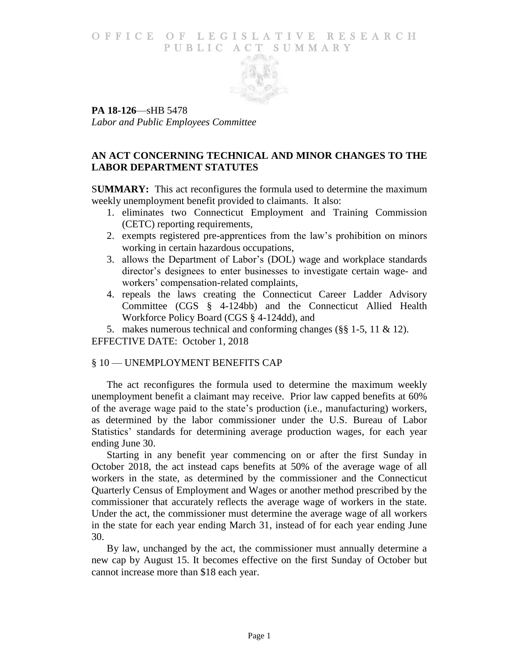### O F FICE OF LEGISLATIVE RESEARCH PUBLIC ACT SUMMARY



**PA 18-126**—sHB 5478 *Labor and Public Employees Committee*

# **AN ACT CONCERNING TECHNICAL AND MINOR CHANGES TO THE LABOR DEPARTMENT STATUTES**

S**UMMARY:** This act reconfigures the formula used to determine the maximum weekly unemployment benefit provided to claimants. It also:

- 1. eliminates two Connecticut Employment and Training Commission (CETC) reporting requirements,
- 2. exempts registered pre-apprentices from the law's prohibition on minors working in certain hazardous occupations,
- 3. allows the Department of Labor's (DOL) wage and workplace standards director's designees to enter businesses to investigate certain wage- and workers' compensation-related complaints,
- 4. repeals the laws creating the Connecticut Career Ladder Advisory Committee (CGS § 4-124bb) and the Connecticut Allied Health Workforce Policy Board (CGS § 4-124dd), and

5. makes numerous technical and conforming changes (§§ 1-5, 11 & 12). EFFECTIVE DATE: October 1, 2018

# § 10 — UNEMPLOYMENT BENEFITS CAP

The act reconfigures the formula used to determine the maximum weekly unemployment benefit a claimant may receive. Prior law capped benefits at 60% of the average wage paid to the state's production (i.e., manufacturing) workers, as determined by the labor commissioner under the U.S. Bureau of Labor Statistics' standards for determining average production wages, for each year ending June 30.

Starting in any benefit year commencing on or after the first Sunday in October 2018, the act instead caps benefits at 50% of the average wage of all workers in the state, as determined by the commissioner and the Connecticut Quarterly Census of Employment and Wages or another method prescribed by the commissioner that accurately reflects the average wage of workers in the state. Under the act, the commissioner must determine the average wage of all workers in the state for each year ending March 31, instead of for each year ending June 30.

By law, unchanged by the act, the commissioner must annually determine a new cap by August 15. It becomes effective on the first Sunday of October but cannot increase more than \$18 each year.